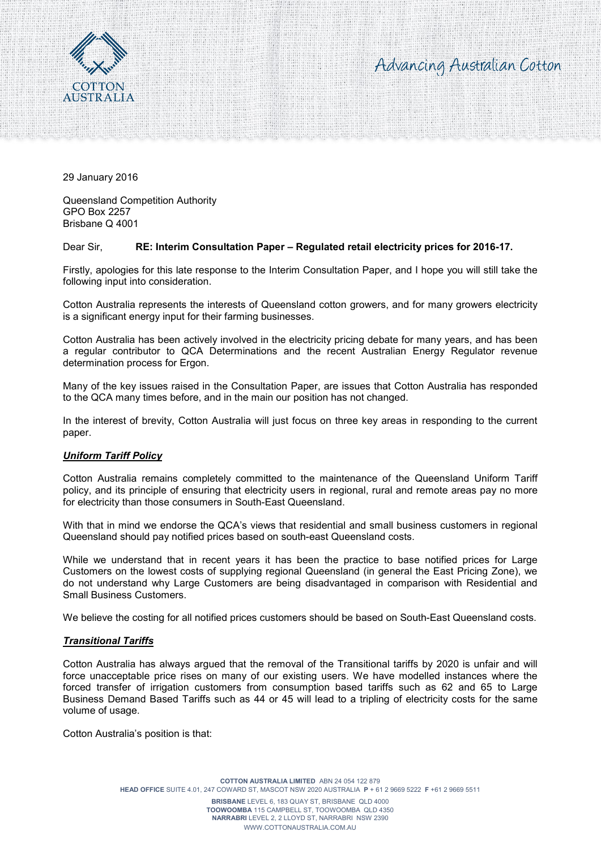



29 January 2016

Queensland Competition Authority GPO Box 2257 Brisbane Q 4001

## Dear Sir, **RE: Interim Consultation Paper – Regulated retail electricity prices for 2016-17.**

Firstly, apologies for this late response to the Interim Consultation Paper, and I hope you will still take the following input into consideration.

Cotton Australia represents the interests of Queensland cotton growers, and for many growers electricity is a significant energy input for their farming businesses.

Cotton Australia has been actively involved in the electricity pricing debate for many years, and has been a regular contributor to QCA Determinations and the recent Australian Energy Regulator revenue determination process for Ergon.

Many of the key issues raised in the Consultation Paper, are issues that Cotton Australia has responded to the QCA many times before, and in the main our position has not changed.

In the interest of brevity, Cotton Australia will just focus on three key areas in responding to the current paper.

## *Uniform Tariff Policy*

Cotton Australia remains completely committed to the maintenance of the Queensland Uniform Tariff policy, and its principle of ensuring that electricity users in regional, rural and remote areas pay no more for electricity than those consumers in South-East Queensland.

With that in mind we endorse the QCA's views that residential and small business customers in regional Queensland should pay notified prices based on south-east Queensland costs.

While we understand that in recent years it has been the practice to base notified prices for Large Customers on the lowest costs of supplying regional Queensland (in general the East Pricing Zone), we do not understand why Large Customers are being disadvantaged in comparison with Residential and Small Business Customers.

We believe the costing for all notified prices customers should be based on South-East Queensland costs.

## *Transitional Tariffs*

Cotton Australia has always argued that the removal of the Transitional tariffs by 2020 is unfair and will force unacceptable price rises on many of our existing users. We have modelled instances where the forced transfer of irrigation customers from consumption based tariffs such as 62 and 65 to Large Business Demand Based Tariffs such as 44 or 45 will lead to a tripling of electricity costs for the same volume of usage.

Cotton Australia's position is that: